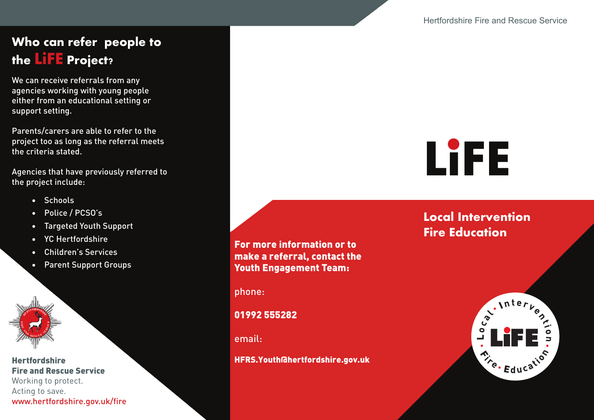## **Who can refer people to the LiFE Project?**

We can receive referrals from any agencies working with young people either from an educational setting or support setting.

Parents/carers are able to refer to the project too as long as the referral meets the criteria stated.

Agencies that have previously referred to the project include:

- Schools
- Police / PCSO's
- Targeted Youth Support
- YC Hertfordshire
- Children's Services
- Parent Support Groups



**Hertfordshire Fire and Rescue Service** Working to protect. Acting to save. www.hertfordshire.gov.uk/fire **For more information or to make a referral, contact the Youth Engagement Team:**

phone:

01992 555282

email:

HFRS.Youth@hertfordshire.gov.uk



**Local Intervention Fire Education**